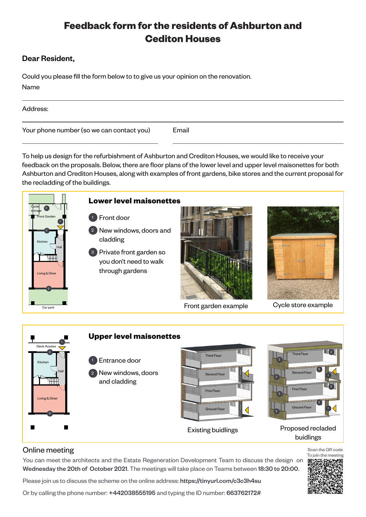## **Feedback form for the residents of Ashburton and Cediton Houses**

### Dear Resident,

Could you please fill the form below to to give us your opinion on the renovation. Name

| Address:                                  |       |
|-------------------------------------------|-------|
| Your phone number (so we can contact you) | Email |

To help us design for the refurbishment of Ashburton and Crediton Houses, we would like to receive your feedback on the proposals. Below, there are floor plans of the lower level and upper level maisonettes for both Ashburton and Crediton Houses, along with examples of front gardens, bike stores and the current proposal for the recladding of the buildings.



#### **Lower level maisonettes**

- Front door 1
- 2 New windows, doors and cladding
- <sup>3</sup> Private front garden so you don't need to walk through gardens



Front garden example



Cycle store example



You can meet the architects and the Estate Regeneration Development Team to discuss the design on Wednesday the 20th of October 2021. The meetings will take place on Teams between 18:30 to 20:00.

Please join us to discuss the scheme on the online address: https://tinyurl.com/c3c3h4su

Or by calling the phone number: +442038555195 and typing the ID number: 663762172#